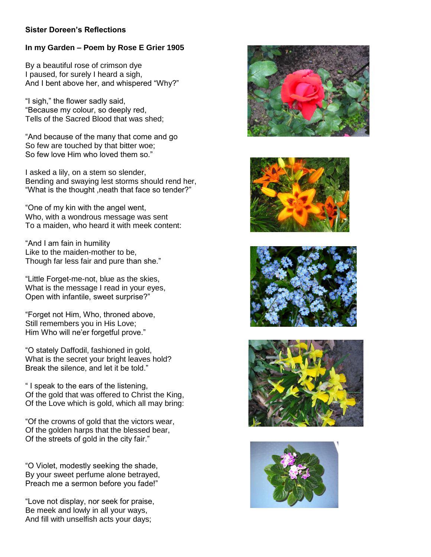## **Sister Doreen's Reflections**

## **In my Garden – Poem by Rose E Grier 1905**

By a beautiful rose of crimson dye I paused, for surely I heard a sigh, And I bent above her, and whispered "Why?"

"I sigh," the flower sadly said, "Because my colour, so deeply red, Tells of the Sacred Blood that was shed;

"And because of the many that come and go So few are touched by that bitter woe; So few love Him who loved them so."

I asked a lily, on a stem so slender, Bending and swaying lest storms should rend her, "What is the thought ,neath that face so tender?"

"One of my kin with the angel went, Who, with a wondrous message was sent To a maiden, who heard it with meek content:

"And I am fain in humility Like to the maiden-mother to be, Though far less fair and pure than she."

"Little Forget-me-not, blue as the skies, What is the message I read in your eyes, Open with infantile, sweet surprise?"

"Forget not Him, Who, throned above, Still remembers you in His Love; Him Who will ne'er forgetful prove."

"O stately Daffodil, fashioned in gold, What is the secret your bright leaves hold? Break the silence, and let it be told."

" I speak to the ears of the listening, Of the gold that was offered to Christ the King, Of the Love which is gold, which all may bring:

"Of the crowns of gold that the victors wear, Of the golden harps that the blessed bear, Of the streets of gold in the city fair."

"O Violet, modestly seeking the shade, By your sweet perfume alone betrayed, Preach me a sermon before you fade!"

"Love not display, nor seek for praise, Be meek and lowly in all your ways, And fill with unselfish acts your days;